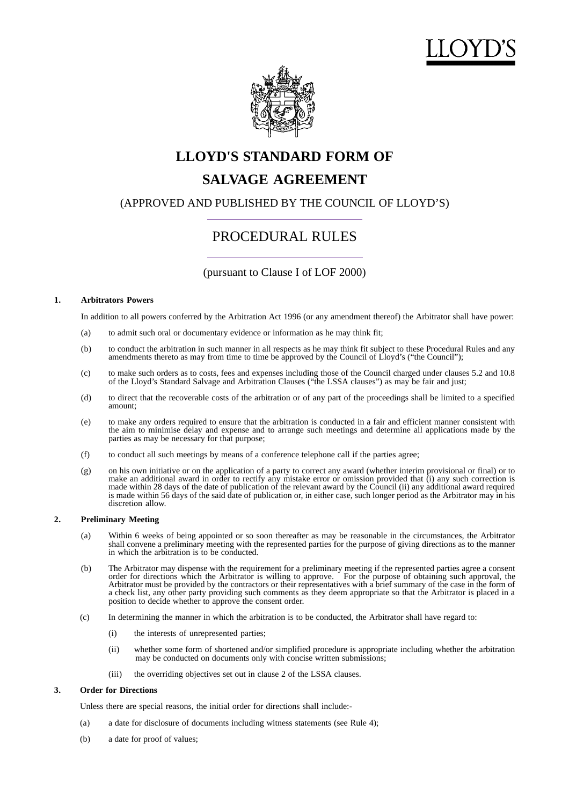



# **LLOYD'S STANDARD FORM OF SALVAGE AGREEMENT**

(APPROVED AND PUBLISHED BY THE COUNCIL OF LLOYD'S)

# PROCEDURAL RULES

(pursuant to Clause I of LOF 2000)

#### **1. Arbitrators Powers**

In addition to all powers conferred by the Arbitration Act 1996 (or any amendment thereof) the Arbitrator shall have power:

- (a) to admit such oral or documentary evidence or information as he may think fit;
- (b) to conduct the arbitration in such manner in all respects as he may think fit subject to these Procedural Rules and any amendments thereto as may from time to time be approved by the Council of Lloyd's ("the Council");
- (c) to make such orders as to costs, fees and expenses including those of the Council charged under clauses 5.2 and 10.8 of the Lloyd's Standard Salvage and Arbitration Clauses ("the LSSA clauses") as may be fair and just;
- (d) to direct that the recoverable costs of the arbitration or of any part of the proceedings shall be limited to a specified amount;
- (e) to make any orders required to ensure that the arbitration is conducted in a fair and efficient manner consistent with the aim to minimise delay and expense and to arrange such meetings and determine all applications made by the parties as may be necessary for that purpose;
- (f) to conduct all such meetings by means of a conference telephone call if the parties agree;
- (g) on his own initiative or on the application of a party to correct any award (whether interim provisional or final) or to make an additional award in order to rectify any mistake error or omission provided that (i) any such correction is made within 28 days of the date of publication of the relevant award by the Council (ii) any additional award required is made within 56 days of the said date of publication or, in either case, such longer period as the Arbitrator may in his discretion allow.

## **2. Preliminary Meeting**

- (a) Within 6 weeks of being appointed or so soon thereafter as may be reasonable in the circumstances, the Arbitrator shall convene a preliminary meeting with the represented parties for the purpose of giving directions as to the manner in which the arbitration is to be conducted.
- (b) The Arbitrator may dispense with the requirement for a preliminary meeting if the represented parties agree a consent order for directions which the Arbitrator is willing to approve. For the purpose of obtaining such approval, the Arbitrator must be provided by the contractors or their representatives with a brief summary of the case in the form of a check list, any other party providing such comments as they deem appropriate so that the Arbitrator is placed in a position to decide whether to approve the consent order.
- (c) In determining the manner in which the arbitration is to be conducted, the Arbitrator shall have regard to:
	- (i) the interests of unrepresented parties;
	- (ii) whether some form of shortened and/or simplified procedure is appropriate including whether the arbitration may be conducted on documents only with concise written submissions;
	- (iii) the overriding objectives set out in clause 2 of the LSSA clauses.

#### **3. Order for Directions**

Unless there are special reasons, the initial order for directions shall include:-

- (a) a date for disclosure of documents including witness statements (see Rule 4);
- (b) a date for proof of values;